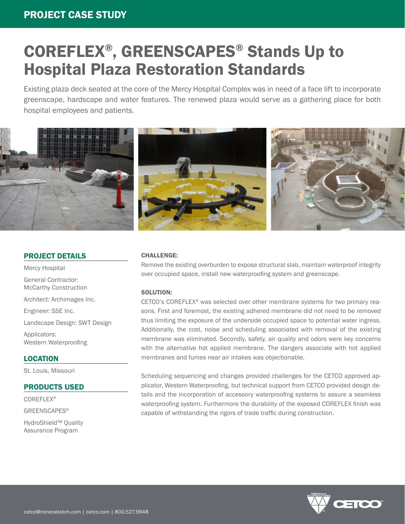# COREFLEX®, GREENSCAPES® Stands Up to Hospital Plaza Restoration Standards

Existing plaza deck seated at the core of the Mercy Hospital Complex was in need of a face lift to incorporate greenscape, hardscape and water features. The renewed plaza would serve as a gathering place for both hospital employees and patients.



#### PROJECT DETAILS

Mercy Hospital General Contractor: McCarthy Construction Architect: Archimages Inc. Engineer: SSE Inc. Landscape Design: SWT Design Applicators: Western Waterproofing

#### LOCATION

St. Louis, Missouri

### PRODUCTS USED

COREFLEX®

GREENSCAPES®

HydroShield™ Quality Assurance Program

#### CHALLENGE:

Remove the existing overburden to expose structural slab, maintain waterproof integrity over occupied space, install new waterproofing system and greenscape.

#### SOLUTION:

CETCO's COREFLEX® was selected over other membrane systems for two primary reasons. First and foremost, the existing adhered membrane did not need to be removed thus limiting the exposure of the underside occupied space to potential water ingress. Additionally, the cost, noise and scheduling associated with removal of the existing membrane was eliminated. Secondly, safety, air quality and odors were key concerns with the alternative hot applied membrane. The dangers associate with hot applied membranes and fumes near air intakes was objectionable.

Scheduling sequencing and changes provided challenges for the CETCO approved applicator, Western Waterproofing, but technical support from CETCO provided design details and the incorporation of accessory waterproofing systems to assure a seamless waterproofing system. Furthermore the durability of the exposed COREFLEX finish was capable of withstanding the rigors of trade traffic during construction.